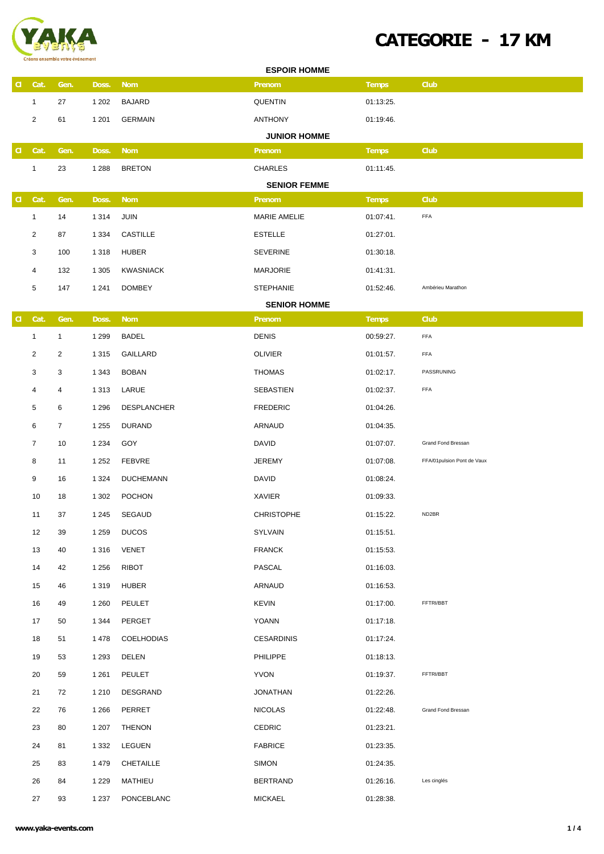

## **CATEGORIE - 17K M**

| <b>ESPOIR HOMME</b> |                |                |         |                    |                                      |              |                            |  |
|---------------------|----------------|----------------|---------|--------------------|--------------------------------------|--------------|----------------------------|--|
| a                   | Cat.           | Gen.           | Doss.   | <b>Nom</b>         | <b>Prenom</b>                        | <b>Temps</b> | <b>Club</b>                |  |
|                     | $\mathbf{1}$   | 27             | 1 202   | <b>BAJARD</b>      | <b>QUENTIN</b>                       | 01:13:25.    |                            |  |
|                     | 2              | 61             | 1 2 0 1 | <b>GERMAIN</b>     | <b>ANTHONY</b>                       | 01:19:46.    |                            |  |
|                     |                |                |         |                    | <b>JUNIOR HOMME</b>                  |              |                            |  |
| $\mathbf{d}$        | Cat.           | Gen.           | Doss.   | <b>Nom</b>         | <b>Prenom</b>                        | <b>Temps</b> | <b>Club</b>                |  |
|                     | 1              | 23             | 1 2 8 8 | <b>BRETON</b>      | <b>CHARLES</b>                       | 01:11:45.    |                            |  |
|                     |                |                |         |                    | <b>SENIOR FEMME</b>                  |              |                            |  |
| $\mathbf{d}$        | Cat.           | Gen.           | Doss.   | <b>Nom</b><br>JUIN | <b>Prenom</b><br><b>MARIE AMELIE</b> | <b>Temps</b> | <b>Club</b><br>FFA         |  |
|                     | 1              | 14             | 1 3 1 4 |                    |                                      | 01:07:41.    |                            |  |
|                     | 2              | 87             | 1 3 3 4 | <b>CASTILLE</b>    | <b>ESTELLE</b>                       | 01:27:01.    |                            |  |
|                     | 3              | 100            | 1 3 1 8 | HUBER              | <b>SEVERINE</b>                      | 01:30:18.    |                            |  |
|                     | 4              | 132            | 1 3 0 5 | <b>KWASNIACK</b>   | <b>MARJORIE</b>                      | 01:41:31.    |                            |  |
|                     | 5              | 147            | 1 2 4 1 | <b>DOMBEY</b>      | <b>STEPHANIE</b>                     | 01:52:46.    | Ambérieu Marathon          |  |
| $\mathbf{d}$        | Cat.           | Gen.           | Doss.   | <b>Nom</b>         | <b>SENIOR HOMME</b><br>Prenom        | <b>Temps</b> | <b>Club</b>                |  |
|                     | $\mathbf{1}$   | $\mathbf{1}$   | 1 2 9 9 | BADEL              | <b>DENIS</b>                         | 00:59:27.    | FFA                        |  |
|                     | 2              | $\overline{2}$ | 1 3 1 5 | GAILLARD           | <b>OLIVIER</b>                       | 01:01:57.    | FFA                        |  |
|                     | 3              | 3              | 1 3 4 3 | <b>BOBAN</b>       | <b>THOMAS</b>                        | 01:02:17.    | PASSRUNING                 |  |
|                     | 4              | 4              | 1 3 1 3 | LARUE              | <b>SEBASTIEN</b>                     | 01:02:37.    | FFA                        |  |
|                     | 5              | 6              | 1 2 9 6 | <b>DESPLANCHER</b> | <b>FREDERIC</b>                      | 01:04:26.    |                            |  |
|                     | 6              | $\overline{7}$ | 1 2 5 5 | <b>DURAND</b>      | ARNAUD                               | 01:04:35.    |                            |  |
|                     | $\overline{7}$ |                |         |                    |                                      |              | Grand Fond Bressan         |  |
|                     |                | 10             | 1 2 3 4 | GOY                | <b>DAVID</b>                         | 01:07:07.    | FFA/01pulsion Pont de Vaux |  |
|                     | 8              | 11             | 1 2 5 2 | <b>FEBVRE</b>      | JEREMY                               | 01:07:08.    |                            |  |
|                     | 9              | 16             | 1 3 2 4 | <b>DUCHEMANN</b>   | <b>DAVID</b>                         | 01:08:24.    |                            |  |
|                     | 10             | 18             | 1 3 0 2 | <b>POCHON</b>      | XAVIER                               | 01:09:33.    |                            |  |
|                     | 11             | 37             | 1 2 4 5 | <b>SEGAUD</b>      | <b>CHRISTOPHE</b>                    | 01:15:22.    | ND2BR                      |  |
|                     | 12             | 39             | 1 2 5 9 | <b>DUCOS</b>       | SYLVAIN                              | 01:15:51.    |                            |  |
|                     | 13             | 40             | 1 3 1 6 | VENET              | <b>FRANCK</b>                        | 01:15:53.    |                            |  |
|                     | 14             | 42             | 1 2 5 6 | RIBOT              | PASCAL                               | 01:16:03.    |                            |  |
|                     | 15             | 46             | 1 3 1 9 | HUBER              | ARNAUD                               | 01:16:53.    |                            |  |
|                     | 16             | 49             | 1 2 6 0 | PEULET             | <b>KEVIN</b>                         | 01:17:00.    | FFTRI/BBT                  |  |
|                     | 17             | 50             | 1 3 4 4 | PERGET             | YOANN                                | 01:17:18.    |                            |  |
|                     | 18             | 51             | 1478    | <b>COELHODIAS</b>  | <b>CESARDINIS</b>                    | 01:17:24.    |                            |  |
|                     | 19             | 53             | 1 2 9 3 | DELEN              | PHILIPPE                             | 01:18:13.    |                            |  |
|                     | 20             | 59             | 1 2 6 1 | PEULET             | <b>YVON</b>                          | 01:19:37.    | FFTRI/BBT                  |  |
|                     | 21             | 72             | 1 2 1 0 | DESGRAND           | <b>JONATHAN</b>                      | 01:22:26.    |                            |  |
|                     | 22             | 76             | 1 2 6 6 | PERRET             | <b>NICOLAS</b>                       | 01:22:48.    | Grand Fond Bressan         |  |
|                     | 23             | 80             | 1 207   | <b>THENON</b>      | <b>CEDRIC</b>                        | 01:23:21.    |                            |  |
|                     | 24             | 81             | 1 3 3 2 | LEGUEN             | <b>FABRICE</b>                       | 01:23:35.    |                            |  |
|                     | 25             | 83             | 1 4 7 9 | CHETAILLE          | <b>SIMON</b>                         | 01:24:35.    |                            |  |
|                     | 26             | 84             | 1 2 2 9 | MATHIEU            | <b>BERTRAND</b>                      | 01:26:16.    | Les cinglés                |  |
|                     | 27             | 93             | 1 2 3 7 | PONCEBLANC         | MICKAEL                              | 01:28:38.    |                            |  |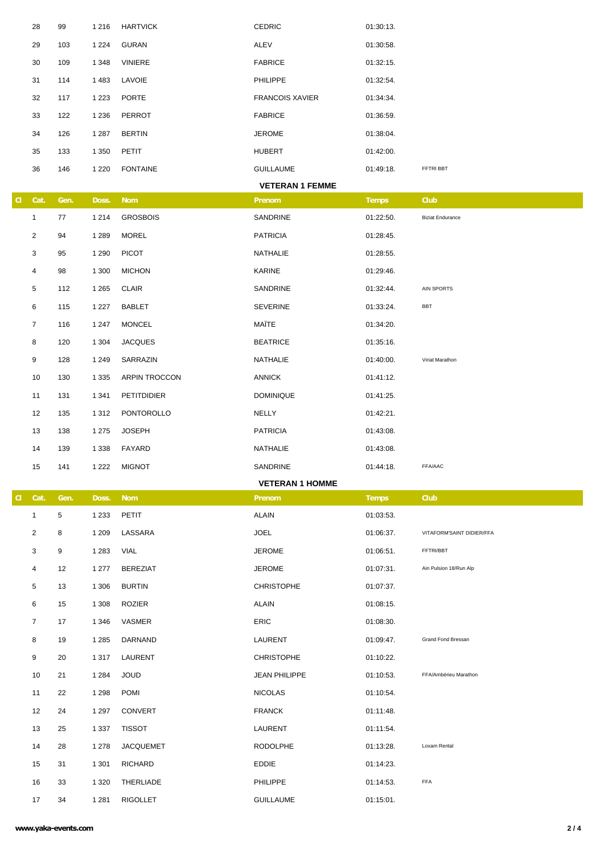|    | 28             | 99   | 1 2 1 6 | <b>HARTVICK</b>  | <b>CEDRIC</b>          | 01:30:13.    |                           |
|----|----------------|------|---------|------------------|------------------------|--------------|---------------------------|
|    | 29             | 103  | 1 2 2 4 | <b>GURAN</b>     | ALEV                   | 01:30:58.    |                           |
|    | 30             | 109  | 1 3 4 8 | VINIERE          | <b>FABRICE</b>         | 01:32:15.    |                           |
|    | 31             | 114  | 1 4 8 3 | LAVOIE           | PHILIPPE               | 01:32:54.    |                           |
|    | 32             | 117  | 1 2 2 3 | <b>PORTE</b>     | <b>FRANCOIS XAVIER</b> | 01:34:34.    |                           |
|    | 33             | 122  | 1 2 3 6 | PERROT           | <b>FABRICE</b>         | 01:36:59.    |                           |
|    | 34             | 126  | 1 2 8 7 | <b>BERTIN</b>    | <b>JEROME</b>          | 01:38:04.    |                           |
|    | 35             | 133  | 1 3 5 0 | PETIT            | <b>HUBERT</b>          | 01:42:00.    |                           |
|    | 36             | 146  | 1 2 2 0 | <b>FONTAINE</b>  | <b>GUILLAUME</b>       | 01:49:18.    | FFTRI BBT                 |
|    |                |      |         |                  | <b>VETERAN 1 FEMME</b> |              |                           |
| a. | Cat.           | Gen. | Doss.   | <b>Nom</b>       | Prenom                 | <b>Temps</b> | <b>Club</b>               |
|    | $\mathbf{1}$   | 77   | 1 2 1 4 | <b>GROSBOIS</b>  | SANDRINE               | 01:22:50.    | <b>Biziat Endurance</b>   |
|    | $\overline{2}$ | 94   | 1 2 8 9 | <b>MOREL</b>     | <b>PATRICIA</b>        | 01:28:45.    |                           |
|    | 3              | 95   | 1 2 9 0 | <b>PICOT</b>     | NATHALIE               | 01:28:55.    |                           |
|    | 4              | 98   | 1 300   | <b>MICHON</b>    | KARINE                 | 01:29:46.    |                           |
|    | 5              | 112  | 1 2 6 5 | <b>CLAIR</b>     | SANDRINE               | 01:32:44.    | AIN SPORTS                |
|    | 6              | 115  | 1 2 2 7 | BABLET           | <b>SEVERINE</b>        | 01:33:24.    | BBT                       |
|    | $\overline{7}$ | 116  | 1 2 4 7 | <b>MONCEL</b>    | MAÎTE                  | 01:34:20.    |                           |
|    | 8              | 120  | 1 3 0 4 | <b>JACQUES</b>   | <b>BEATRICE</b>        | 01:35:16.    |                           |
|    | 9              | 128  | 1 2 4 9 | SARRAZIN         | NATHALIE               | 01:40:00.    | Viriat Marathon           |
|    | 10             | 130  | 1 3 3 5 | ARPIN TROCCON    | ANNICK                 | 01:41:12.    |                           |
|    | 11             | 131  | 1 3 4 1 | PETITDIDIER      | <b>DOMINIQUE</b>       | 01:41:25.    |                           |
|    | 12             | 135  | 1 3 1 2 | PONTOROLLO       | NELLY                  | 01:42:21.    |                           |
|    | 13             | 138  | 1 2 7 5 | <b>JOSEPH</b>    | <b>PATRICIA</b>        | 01:43:08.    |                           |
|    | 14             | 139  | 1 3 3 8 | FAYARD           | NATHALIE               | 01:43:08.    |                           |
|    | 15             | 141  | 1 2 2 2 | <b>MIGNOT</b>    | SANDRINE               | 01:44:18.    | FFA/AAC                   |
|    |                |      |         |                  | <b>VETERAN 1 HOMME</b> |              |                           |
| a. | Cat.           | Gen. | Doss.   | <b>Nom</b>       | Prenom                 | <b>Temps</b> | <b>Club</b>               |
|    | $\mathbf{1}$   | 5    | 1 2 3 3 | <b>PETIT</b>     | <b>ALAIN</b>           | 01:03:53.    |                           |
|    | 2              | 8    | 1 2 0 9 | LASSARA          | <b>JOEL</b>            | 01:06:37.    | VITAFORM'SAINT DIDIER/FFA |
|    | 3              | 9    | 1 2 8 3 | VIAL             | <b>JEROME</b>          | 01:06:51.    | FFTRI/BBT                 |
|    | 4              | 12   | 1 277   | <b>BEREZIAT</b>  | <b>JEROME</b>          | 01:07:31.    | Ain Pulsion 18/Run Alp    |
|    | 5              | 13   | 1 3 0 6 | <b>BURTIN</b>    | <b>CHRISTOPHE</b>      | 01:07:37.    |                           |
|    | 6              | 15   | 1 3 0 8 | ROZIER           | <b>ALAIN</b>           | 01:08:15.    |                           |
|    | 7              | 17   | 1 3 4 6 | VASMER           | <b>ERIC</b>            | 01:08:30.    |                           |
|    | 8              | 19   | 1 2 8 5 | DARNAND          | LAURENT                | 01:09:47.    | Grand Fond Bressan        |
|    | 9              | 20   | 1 3 1 7 | LAURENT          | <b>CHRISTOPHE</b>      | 01:10:22.    |                           |
|    | 10             | 21   | 1 2 8 4 | <b>JOUD</b>      | <b>JEAN PHILIPPE</b>   | 01:10:53.    | FFA/Ambérieu Marathon     |
|    | 11             | 22   | 1 2 9 8 | <b>POMI</b>      | <b>NICOLAS</b>         | 01:10:54.    |                           |
|    | 12             | 24   | 1 2 9 7 | <b>CONVERT</b>   | <b>FRANCK</b>          | 01:11:48.    |                           |
|    | 13             | 25   | 1 3 3 7 | <b>TISSOT</b>    | LAURENT                | 01:11:54.    |                           |
|    | 14             | 28   | 1 2 7 8 | <b>JACQUEMET</b> | <b>RODOLPHE</b>        | 01:13:28.    | Loxam Rental              |
|    | 15             | 31   | 1 3 0 1 | <b>RICHARD</b>   | EDDIE                  | 01:14:23.    |                           |
|    | 16             | 33   | 1 3 2 0 | THERLIADE        | <b>PHILIPPE</b>        | 01:14:53.    | FFA                       |
|    | 17             | 34   | 1 2 8 1 | <b>RIGOLLET</b>  | <b>GUILLAUME</b>       | 01:15:01.    |                           |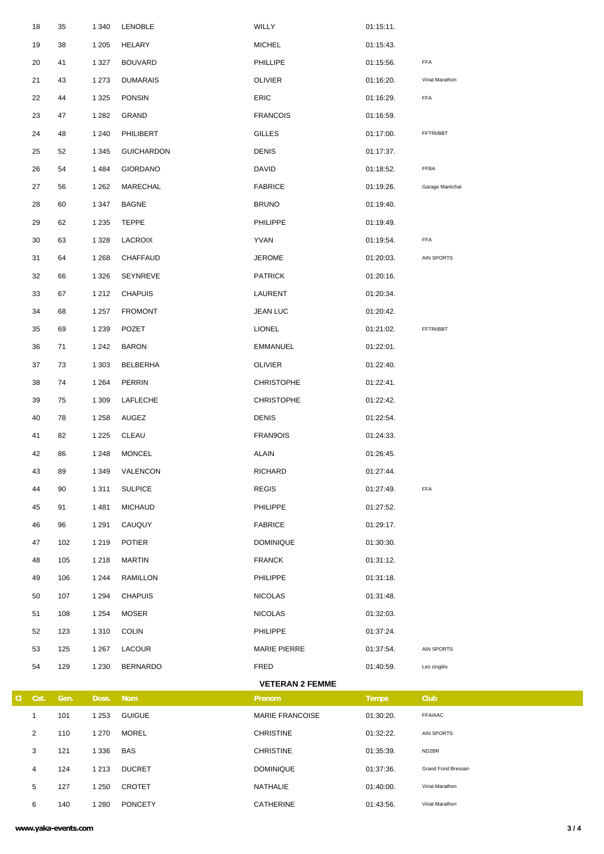|   | 18           | 35   | 1 3 4 0 | LENOBLE           | WILLY                  | 01:15:11.    |                    |
|---|--------------|------|---------|-------------------|------------------------|--------------|--------------------|
|   | 19           | 38   | 1 2 0 5 | <b>HELARY</b>     | <b>MICHEL</b>          | 01:15:43.    |                    |
|   | 20           | 41   | 1 3 2 7 | <b>BOUVARD</b>    | <b>PHILLIPE</b>        | 01:15:56.    | FFA                |
|   | 21           | 43   | 1 2 7 3 | <b>DUMARAIS</b>   | <b>OLIVIER</b>         | 01:16:20.    | Viriat Marathon    |
|   | 22           | 44   | 1 3 2 5 | <b>PONSIN</b>     | <b>ERIC</b>            | 01:16:29.    | FFA                |
|   | 23           | 47   | 1 2 8 2 | GRAND             | <b>FRANCOIS</b>        | 01:16:59.    |                    |
|   | 24           | 48   | 1 2 4 0 | PHILIBERT         | <b>GILLES</b>          | 01:17:00.    | FFTRI/BBT          |
|   | 25           | 52   | 1 3 4 5 | <b>GUICHARDON</b> | <b>DENIS</b>           | 01:17:37.    |                    |
|   | 26           | 54   | 1484    | <b>GIORDANO</b>   | <b>DAVID</b>           | 01:18:52.    | FFBA               |
|   | 27           | 56   | 1 2 6 2 | MARECHAL          | <b>FABRICE</b>         | 01:19:26.    | Garage Maréchal    |
|   | 28           | 60   | 1 3 4 7 | <b>BAGNE</b>      | <b>BRUNO</b>           | 01:19:40.    |                    |
|   | 29           | 62   | 1 2 3 5 | <b>TEPPE</b>      | <b>PHILIPPE</b>        | 01:19:49.    |                    |
|   | 30           | 63   | 1 3 2 8 | LACROIX           | YVAN                   | 01:19:54.    | FFA                |
|   | 31           | 64   | 1 2 6 8 | CHAFFAUD          | <b>JEROME</b>          | 01:20:03.    | AIN SPORTS         |
|   | 32           | 66   | 1 3 2 6 | SEYNREVE          | <b>PATRICK</b>         | 01:20:16.    |                    |
|   | 33           | 67   | 1 2 1 2 | <b>CHAPUIS</b>    | LAURENT                | 01:20:34.    |                    |
|   | 34           | 68   | 1 2 5 7 | <b>FROMONT</b>    | <b>JEAN LUC</b>        | 01:20:42.    |                    |
|   | 35           | 69   | 1 2 3 9 | <b>POZET</b>      | <b>LIONEL</b>          | 01:21:02.    | FFTRI/BBT          |
|   | 36           | 71   | 1 2 4 2 | <b>BARON</b>      | EMMANUEL               | 01:22:01.    |                    |
|   | 37           | 73   | 1 3 0 3 | BELBERHA          | <b>OLIVIER</b>         | 01:22:40.    |                    |
|   | 38           | 74   | 1 2 6 4 | PERRIN            | <b>CHRISTOPHE</b>      | 01:22:41.    |                    |
|   | 39           | 75   | 1 3 0 9 | LAFLECHE          | <b>CHRISTOPHE</b>      | 01:22:42.    |                    |
|   | 40           | 78   | 1 2 5 8 | AUGEZ             | <b>DENIS</b>           | 01:22:54.    |                    |
|   | 41           | 82   | 1 2 2 5 | CLEAU             | FRAN9OIS               | 01:24:33.    |                    |
|   | 42           | 86   | 1 2 4 8 | MONCEL            | <b>ALAIN</b>           | 01:26:45.    |                    |
|   | 43           | 89   | 1 3 4 9 | VALENCON          | RICHARD                | 01:27:44.    |                    |
|   | 44           | 90   | 1 3 1 1 | <b>SULPICE</b>    | <b>REGIS</b>           | 01:27:49.    | FFA                |
|   | 45           | 91   | 1 4 8 1 | <b>MICHAUD</b>    | <b>PHILIPPE</b>        | 01:27:52.    |                    |
|   | 46           | 96   | 1 2 9 1 | CAUQUY            | <b>FABRICE</b>         | 01:29:17.    |                    |
|   | 47           | 102  | 1 2 1 9 | <b>POTIER</b>     | <b>DOMINIQUE</b>       | 01:30:30.    |                    |
|   | 48           | 105  | 1 2 1 8 | MARTIN            | <b>FRANCK</b>          | 01:31:12.    |                    |
|   | 49           | 106  | 1 2 4 4 | RAMILLON          | <b>PHILIPPE</b>        | 01:31:18.    |                    |
|   | 50           | 107  | 1 2 9 4 | <b>CHAPUIS</b>    | <b>NICOLAS</b>         | 01:31:48.    |                    |
|   | 51           | 108  | 1 2 5 4 | MOSER             | <b>NICOLAS</b>         | 01:32:03.    |                    |
|   | 52           | 123  | 1 3 1 0 | <b>COLIN</b>      | <b>PHILIPPE</b>        | 01:37:24.    |                    |
|   | 53           | 125  | 1 2 6 7 | LACOUR            | <b>MARIE PIERRE</b>    | 01:37:54.    | AIN SPORTS         |
|   | 54           | 129  | 1 2 3 0 | <b>BERNARDO</b>   | FRED                   | 01:40:59.    | Les cinglés        |
|   |              |      |         |                   | <b>VETERAN 2 FEMME</b> |              |                    |
| a | Cat.         | Gen. | Doss.   | <b>Nom</b>        | <b>Prenom</b>          | <b>Temps</b> | <b>Club</b>        |
|   | $\mathbf{1}$ | 101  | 1 2 5 3 | <b>GUIGUE</b>     | <b>MARIE FRANCOISE</b> | 01:30:20.    | FFA/AAC            |
|   | 2            | 110  | 1 2 7 0 | MOREL             | <b>CHRISTINE</b>       | 01:32:22.    | AIN SPORTS         |
|   | 3            | 121  | 1 3 3 6 | BAS               | <b>CHRISTINE</b>       | 01:35:39.    | ND2BR              |
|   | 4            | 124  | 1 2 1 3 | <b>DUCRET</b>     | <b>DOMINIQUE</b>       | 01:37:36.    | Grand Fond Bressan |
|   | 5            | 127  | 1 2 5 0 | CROTET            | NATHALIE               | 01:40:00.    | Viriat Marathon    |

140 1 280 PONCETY CATHERINE 01:43:56. Viriat Marathon